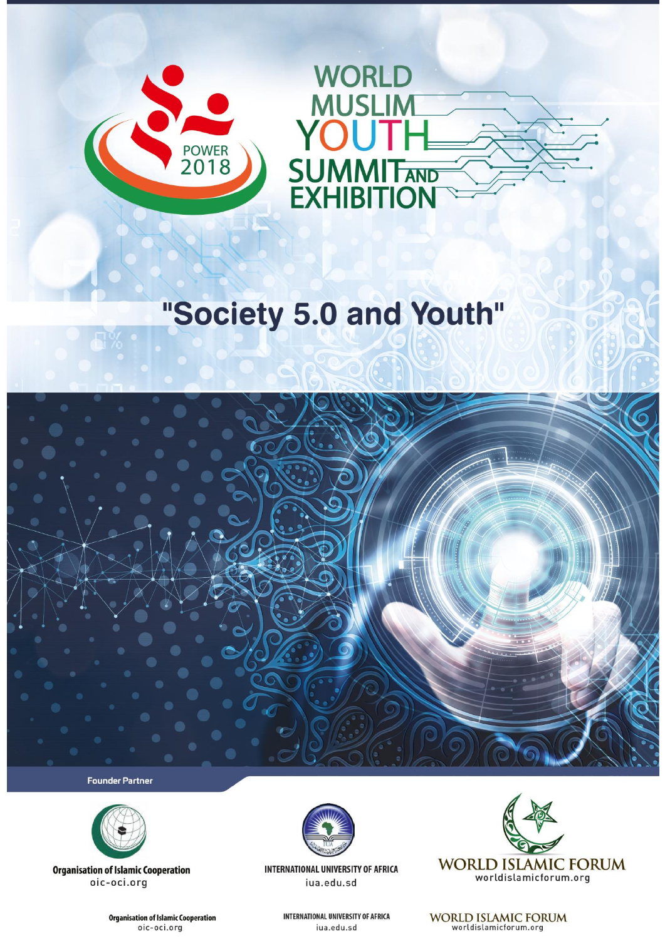



# "Society 5.0 and Youth"



**Founder Partner** 



**Organisation of Islamic Cooperation** oic-oci.org

> **Organisation of Islamic Cooperation** oic-oci.org



INTERNATIONAL UNIVERSITY OF AFRICA iua.edu.sd

> **INTERNATIONAL UNIVERSITY OF AFRICA** iua.edu.sd



WORLD ISLAMIC FORUM<br>worldislamicforum.org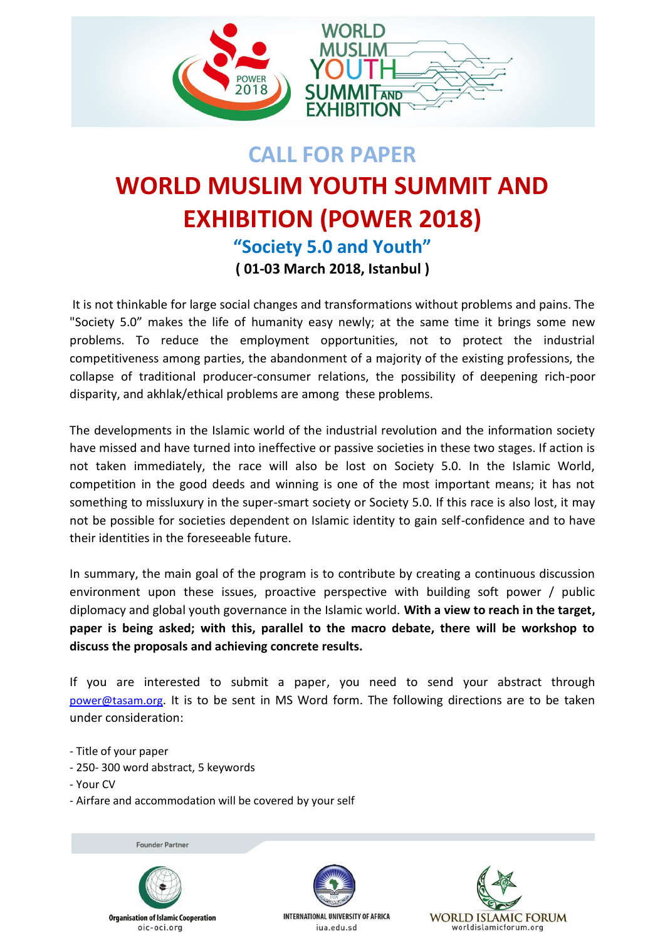

# **CALL FOR PAPER WORLD MUSLIM YOUTH SUMMIT AND EXHIBITION (POWER 2018) "Society 5.0 and Youth" ( 01-03 March 2018, Istanbul )**

It is not thinkable for large social changes and transformations without problems and pains. The "Society 5.0" makes the life of humanity easy newly; at the same time it brings some new problems. To reduce the employment opportunities, not to protect the industrial competitiveness among parties, the abandonment of a majority of the existing professions, the collapse of traditional producer-consumer relations, the possibility of deepening rich-poor disparity, and akhlak/ethical problems are among these problems.

The developments in the Islamic world of the industrial revolution and the information society have missed and have turned into ineffective or passive societies in these two stages. If action is not taken immediately, the race will also be lost on Society 5.0. In the Islamic World, competition in the good deeds and winning is one of the most important means; it has not something to missluxury in the super-smart society or Society 5.0. If this race is also lost, it may not be possible for societies dependent on Islamic identity to gain self-confidence and to have their identities in the foreseeable future.

In summary, the main goal of the program is to contribute by creating a continuous discussion environment upon these issues, proactive perspective with building soft power / public diplomacy and global youth governance in the Islamic world. **With a view to reach in the target, paper is being asked; with this, parallel to the macro debate, there will be workshop to discuss the proposals and achieving concrete results.** 

If you are interested to submit a paper, you need to send your abstract through [power@tasam.org](mailto:power@tasam.org). It is to be sent in MS Word form. The following directions are to be taken under consideration:

- Title of your paper
- 250- 300 word abstract, 5 keywords
- Your CV
- Airfare and accommodation will be covered by your self

**Founder Partner**